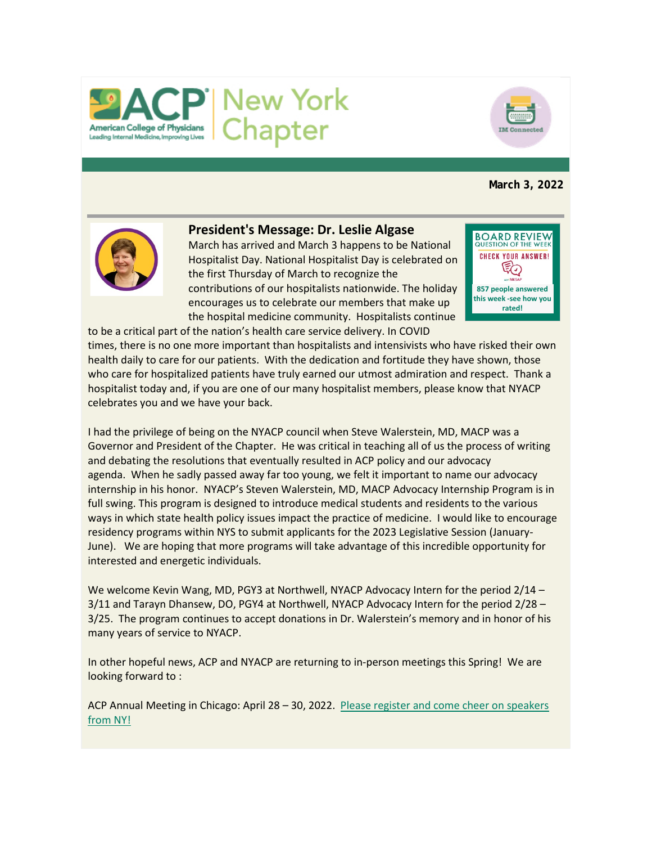



# **March 3, 2022**



## **President's Message: Dr. Leslie Algase**

to be a critical part of the nation's health care service delivery. In COVID

March has arrived and March 3 happens to be National Hospitalist Day. National Hospitalist Day is celebrated on the first Thursday of March to recognize the contributions of our hospitalists nationwide. The holiday encourages us to celebrate our members that make up the hospital medicine community. Hospitalists continue



times, there is no one more important than hospitalists and intensivists who have risked their own health daily to care for our patients. With the dedication and fortitude they have shown, those who care for hospitalized patients have truly earned our utmost admiration and respect. Thank a hospitalist today and, if you are one of our many hospitalist members, please know that NYACP celebrates you and we have your back.

I had the privilege of being on the NYACP council when Steve Walerstein, MD, MACP was a Governor and President of the Chapter. He was critical in teaching all of us the process of writing and debating the resolutions that eventually resulted in ACP policy and our advocacy agenda. When he sadly passed away far too young, we felt it important to name our advocacy internship in his honor. NYACP's Steven Walerstein, MD, MACP Advocacy Internship Program is in full swing. This program is designed to introduce medical students and residents to the various ways in which state health policy issues impact the practice of medicine. I would like to encourage residency programs within NYS to submit applicants for the 2023 Legislative Session (January-June). We are hoping that more programs will take advantage of this incredible opportunity for interested and energetic individuals.

We welcome Kevin Wang, MD, PGY3 at Northwell, NYACP Advocacy Intern for the period 2/14 – 3/11 and Tarayn Dhansew, DO, PGY4 at Northwell, NYACP Advocacy Intern for the period 2/28 – 3/25. The program continues to accept donations in Dr. Walerstein's memory and in honor of his many years of service to NYACP.

In other hopeful news, ACP and NYACP are returning to in-person meetings this Spring! We are looking forward to :

ACP Annual Meeting in Chicago: April 28 – 30, 2022. [Please register and come cheer on speakers](https://www.votervoice.net/BroadcastLinks/JAXhBpSr01uOKMsKWG6FPw)  [from NY!](https://www.votervoice.net/BroadcastLinks/JAXhBpSr01uOKMsKWG6FPw)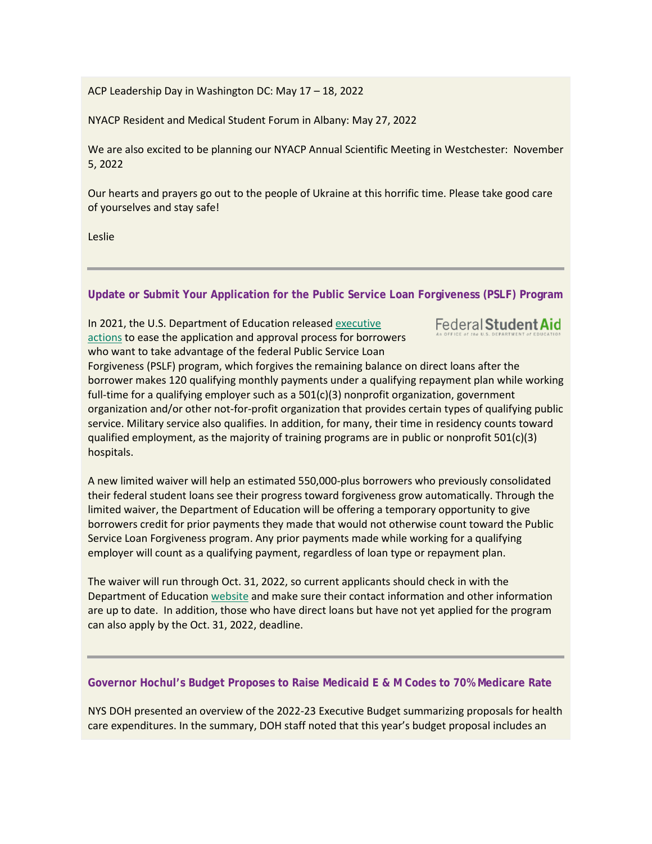ACP Leadership Day in Washington DC: May 17 – 18, 2022

NYACP Resident and Medical Student Forum in Albany: May 27, 2022

We are also excited to be planning our NYACP Annual Scientific Meeting in Westchester: November 5, 2022

Our hearts and prayers go out to the people of Ukraine at this horrific time. Please take good care of yourselves and stay safe!

Leslie

**Update or Submit Your Application for the Public Service Loan Forgiveness (PSLF) Program**

In 2021, the U.S. Department of Education released [executive](https://www.votervoice.net/BroadcastLinks/thMUmzRuKHls3mMZZ7TXhg)  [actions](https://www.votervoice.net/BroadcastLinks/thMUmzRuKHls3mMZZ7TXhg) to ease the application and approval process for borrowers who want to take advantage of the federal Public Service Loan

Federal Student Aid

Forgiveness (PSLF) program, which forgives the remaining balance on direct loans after the borrower makes 120 qualifying monthly payments under a qualifying repayment plan while working full-time for a qualifying employer such as a 501(c)(3) nonprofit organization, government organization and/or other not-for-profit organization that provides certain types of qualifying public service. Military service also qualifies. In addition, for many, their time in residency counts toward qualified employment, as the majority of training programs are in public or nonprofit 501(c)(3) hospitals.

A new limited waiver will help an estimated 550,000-plus borrowers who previously consolidated their federal student loans see their progress toward forgiveness grow automatically. Through the limited waiver, the Department of Education will be offering a temporary opportunity to give borrowers credit for prior payments they made that would not otherwise count toward the Public Service Loan Forgiveness program. Any prior payments made while working for a qualifying employer will count as a qualifying payment, regardless of loan type or repayment plan.

The waiver will run through Oct. 31, 2022, so current applicants should check in with the Department of Education [website](https://www.votervoice.net/BroadcastLinks/thMUmzRuKHls3mMZZ7TXhg) and make sure their contact information and other information are up to date. In addition, those who have direct loans but have not yet applied for the program can also apply by the Oct. 31, 2022, deadline.

## **Governor Hochul's Budget Proposes to Raise Medicaid E & M Codes to 70% Medicare Rate**

NYS DOH presented an overview of the 2022-23 Executive Budget summarizing proposals for health care expenditures. In the summary, DOH staff noted that this year's budget proposal includes an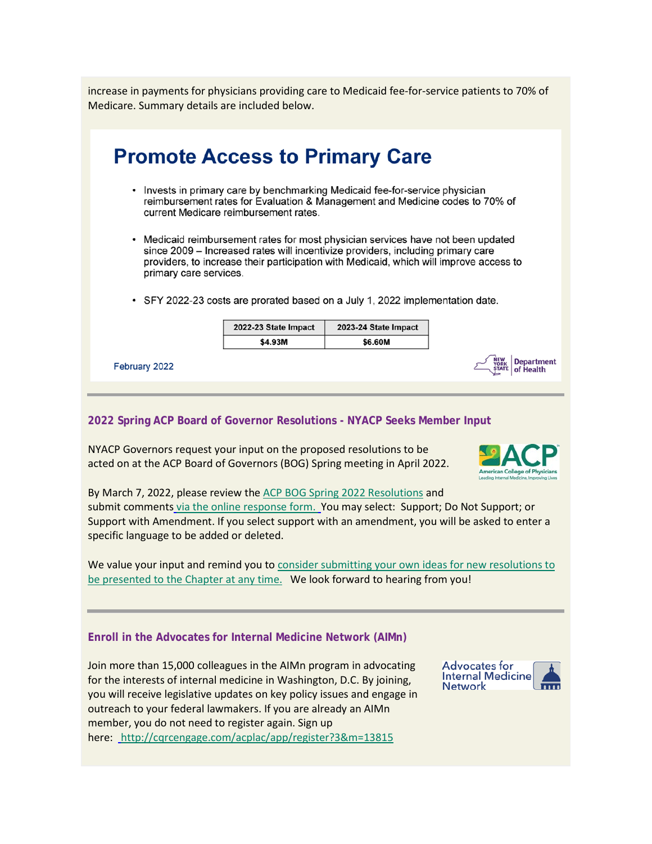increase in payments for physicians providing care to Medicaid fee-for-service patients to 70% of Medicare. Summary details are included below.

| <b>Promote Access to Primary Care</b>                                                                                                                                                                                                                                                   |                      |                      |  |
|-----------------------------------------------------------------------------------------------------------------------------------------------------------------------------------------------------------------------------------------------------------------------------------------|----------------------|----------------------|--|
| • Invests in primary care by benchmarking Medicaid fee-for-service physician<br>reimbursement rates for Evaluation & Management and Medicine codes to 70% of<br>current Medicare reimbursement rates.                                                                                   |                      |                      |  |
| • Medicaid reimbursement rates for most physician services have not been updated<br>since 2009 - Increased rates will incentivize providers, including primary care<br>providers, to increase their participation with Medicaid, which will improve access to<br>primary care services. |                      |                      |  |
| • SFY 2022-23 costs are prorated based on a July 1, 2022 implementation date.                                                                                                                                                                                                           |                      |                      |  |
|                                                                                                                                                                                                                                                                                         | 2022-23 State Impact | 2023-24 State Impact |  |
|                                                                                                                                                                                                                                                                                         | \$4.93M              | \$6.60M              |  |
| February 2022                                                                                                                                                                                                                                                                           |                      |                      |  |

#### **2022 Spring ACP Board of Governor Resolutions - NYACP Seeks Member Input**

NYACP Governors request your input on the proposed resolutions to be acted on at the ACP Board of Governors (BOG) Spring meeting in April 2022.



By March 7, 2022, please review the [ACP BOG Spring 2022 Resolutions](https://www.votervoice.net/BroadcastLinks/JaLsI3Hh-C-9BgLAPD_DfA) and submit comments [via the online response form.](https://www.votervoice.net/BroadcastLinks/TaEWecG41HyDahBZXumCvQ) You may select: Support; Do Not Support; or Support with Amendment. If you select support with an amendment, you will be asked to enter a specific language to be added or deleted.

We value your input and remind you to consider submitting your own ideas for new resolutions to [be presented to the Chapter at any time.](https://www.votervoice.net/BroadcastLinks/diE7ozhFM2fu_Dd0yfRi-g) We look forward to hearing from you!

## **Enroll in the Advocates for Internal Medicine Network (AIMn)**

Join more than 15,000 colleagues in the AIMn program in advocating for the interests of internal medicine in Washington, D.C. By joining, you will receive legislative updates on key policy issues and engage in outreach to your federal lawmakers. If you are already an AIMn member, you do not need to register again. Sign up here: <http://cqrcengage.com/acplac/app/register?3&m=13815>

**Advocates for Internal Medicine Network**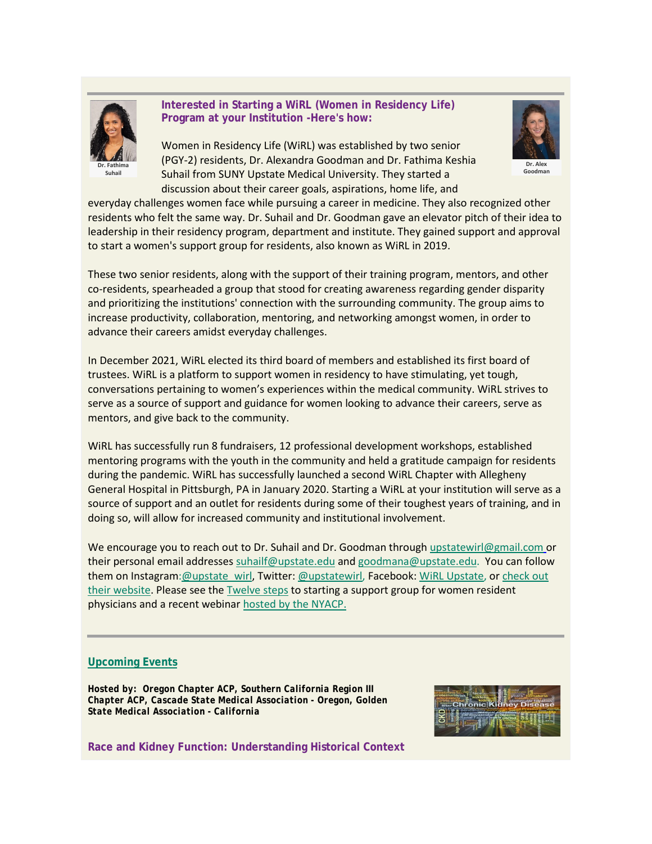

## **Interested in Starting a WiRL (Women in Residency Life) Program at your Institution -Here's how:**

Women in Residency Life (WiRL) was established by two senior (PGY-2) residents, Dr. Alexandra Goodman and Dr. Fathima Keshia Dr. Fathima **Contained a Community Contained Account of the Contained Account of the Contained Account of the Contains Suhail Suhail <b>Suhail** Suhail from SUNY Upstate Medical University. They started a discussion about their career goals, aspirations, home life, and



everyday challenges women face while pursuing a career in medicine. They also recognized other residents who felt the same way. Dr. Suhail and Dr. Goodman gave an elevator pitch of their idea to leadership in their residency program, department and institute. They gained support and approval to start a women's support group for residents, also known as WiRL in 2019.

These two senior residents, along with the support of their training program, mentors, and other co-residents, spearheaded a group that stood for creating awareness regarding gender disparity and prioritizing the institutions' connection with the surrounding community. The group aims to increase productivity, collaboration, mentoring, and networking amongst women, in order to advance their careers amidst everyday challenges.

In December 2021, WiRL elected its third board of members and established its first board of trustees. WiRL is a platform to support women in residency to have stimulating, yet tough, conversations pertaining to women's experiences within the medical community. WiRL strives to serve as a source of support and guidance for women looking to advance their careers, serve as mentors, and give back to the community.

WiRL has successfully run 8 fundraisers, 12 professional development workshops, established mentoring programs with the youth in the community and held a gratitude campaign for residents during the pandemic. WiRL has successfully launched a second WiRL Chapter with Allegheny General Hospital in Pittsburgh, PA in January 2020. Starting a WiRL at your institution will serve as a source of support and an outlet for residents during some of their toughest years of training, and in doing so, will allow for increased community and institutional involvement.

We encourage you to reach out to Dr. Suhail and Dr. Goodman throug[h upstatewirl@gmail.com](mailto:upstatewirl@gmail.com) or their personal email addresse[s suhailf@upstate.edu](mailto:suhailf@upstate.edu) an[d goodmana@upstate.edu.](mailto:goodmana@upstate.edu) You can follow them on Instagram: @upstate\_wirl, Twitter[: @upstatewirl,](https://www.votervoice.net/BroadcastLinks/E1juW4wjDVTeYHW_21n_WQ) Facebook: [WiRL Upstate,](https://www.votervoice.net/BroadcastLinks/n4QiWILWCFC1iJ2LElTEWw) or check out [their website.](https://www.votervoice.net/BroadcastLinks/wDZXIrBiYi-uDxLi0ehh6A) Please see the [Twelve steps](https://www.votervoice.net/BroadcastLinks/WOMU0ov9vNKxrxW37V1PYg) to starting a support group for women resident physicians and a recent webinar [hosted by the NYACP.](https://www.votervoice.net/BroadcastLinks/0GCFAnWI7hngrul0N_XZJQ)

## **[Upcoming Events](https://www.votervoice.net/BroadcastLinks/JeShCIuqKLVVK9hHNtbKrg)**

*Hosted by: Oregon Chapter ACP, Southern California Region III Chapter ACP, Cascade State Medical Association - Oregon, Golden State Medical Association - California*



**Race and Kidney Function: Understanding Historical Context**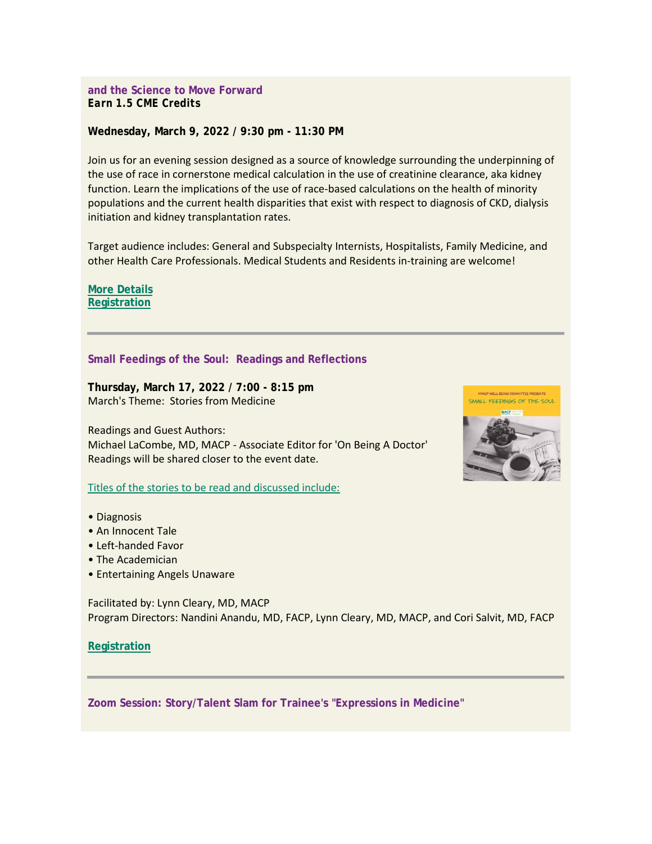#### **and the Science to Move Forward** *Earn 1.5 CME Credits*

#### **Wednesday, March 9, 2022 / 9:30 pm - 11:30 PM**

Join us for an evening session designed as a source of knowledge surrounding the underpinning of the use of race in cornerstone medical calculation in the use of creatinine clearance, aka kidney function. Learn the implications of the use of race-based calculations on the health of minority populations and the current health disparities that exist with respect to diagnosis of CKD, dialysis initiation and kidney transplantation rates.

Target audience includes: General and Subspecialty Internists, Hospitalists, Family Medicine, and other Health Care Professionals. Medical Students and Residents in-training are welcome!

**[More Details](https://www.votervoice.net/BroadcastLinks/_fH5y1hEtdfVk_Pw4FR17w) [Registration](https://www.votervoice.net/BroadcastLinks/PeTtEazX9NKAqfVgvDcPzQ)**

#### **Small Feedings of the Soul: Readings and Reflections**

**Thursday, March 17, 2022 / 7:00 - 8:15 pm** March's Theme: Stories from Medicine

Readings and Guest Authors: Michael LaCombe, MD, MACP - Associate Editor for 'On Being A Doctor' Readings will be shared closer to the event date.

[Titles of the stories to be read and discussed include:](https://www.votervoice.net/BroadcastLinks/u5Q5qfid19bVPUiFBlwCXA)

- Diagnosis
- An Innocent Tale
- Left-handed Favor
- The Academician
- Entertaining Angels Unaware

Facilitated by: Lynn Cleary, MD, MACP Program Directors: Nandini Anandu, MD, FACP, Lynn Cleary, MD, MACP, and Cori Salvit, MD, FACP

**[Registration](https://www.votervoice.net/BroadcastLinks/KpEOkiYwaoYlUGafYlQFTA)**

**Zoom Session: Story/Talent Slam for Trainee's "Expressions in Medicine"**